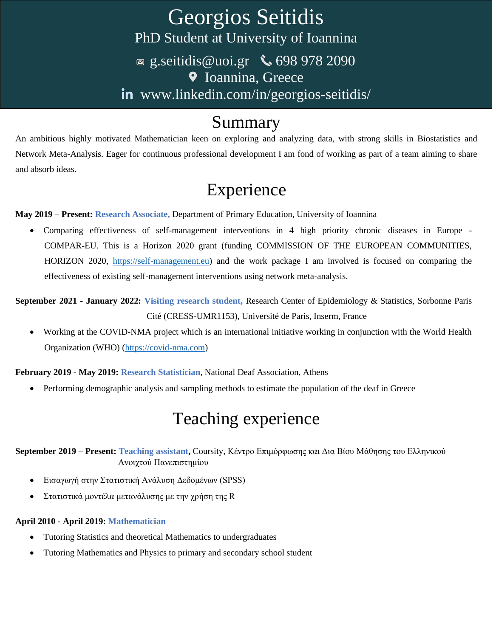# Georgios Seitidis PhD Student at University of Ioannina ■ [g.seitidis@uoi.gr](mailto:g.seitidis@uoi.gr)  $\bullet$  698 978 2090 **V** Ioannina, Greece in [www.linkedin.com/in/georgios-seitidis/](http://www.linkedin.com/in/georgios-seitidis/)

## Summary

An ambitious highly motivated Mathematician keen on exploring and analyzing data, with strong skills in Biostatistics and Network Meta-Analysis. Eager for continuous professional development I am fond of working as part of a team aiming to share and absorb ideas.

## Experience

**May 2019 – Present: Research Associate,** Department of Primary Education, University of Ioannina

• Comparing effectiveness of self-management interventions in 4 high priority chronic diseases in Europe - COMPAR-EU. This is a Horizon 2020 grant (funding COMMISSION OF THE EUROPEAN COMMUNITIES, HORIZON 2020, [https://self-management.eu\)](https://self-management.eu/) and the work package I am involved is focused on comparing the effectiveness of existing self-management interventions using network meta-analysis.

**September 2021 - January 2022: Visiting research student,** Research Center of Epidemiology & Statistics, Sorbonne Paris Cité (CRESS-UMR1153), Université de Paris, Inserm, France

• Working at the COVID-NMA project which is an international initiative working in conjunction with the World Health Organization (WHO) [\(https://covid-nma.com\)](https://covid-nma.com/)

**February 2019 - May 2019: Research Statistician**, National Deaf Association, Athens

• Performing demographic analysis and sampling methods to estimate the population of the deaf in Greece

# Teaching experience

**September 2019 – Present: Teaching assistant,** Coursity, Κέντρο Επιμόρφωσης και Δια Βίου Μάθησης του Ελληνικού Ανοιχτού Πανεπιστημίου

- Εισαγωγή στην Στατιστική Ανάλυση Δεδομένων (SPSS)
- Στατιστικά μοντέλα μετανάλυσης με την χρήση της R

#### **April 2010 - April 2019: Mathematician**

- Tutoring Statistics and theoretical Mathematics to undergraduates
- Tutoring Mathematics and Physics to primary and secondary school student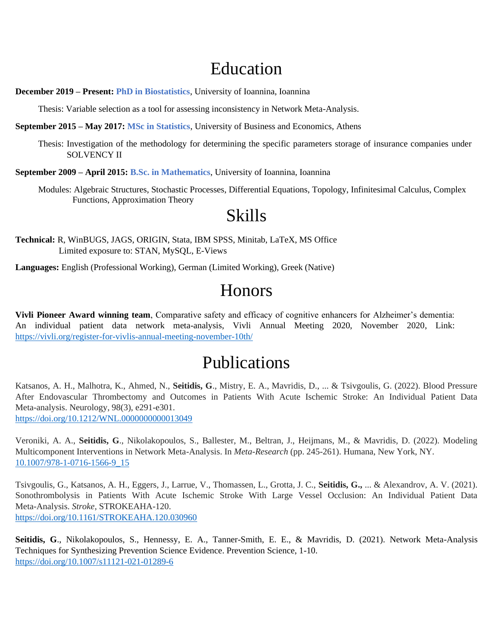## Education

**December 2019 – Present: PhD in Biostatistics**, University of Ioannina, Ioannina

Thesis: Variable selection as a tool for assessing inconsistency in Network Meta-Analysis.

**September 2015 – May 2017: MSc in Statistics**, University of Business and Economics, Athens

Thesis: Investigation of the methodology for determining the specific parameters storage of insurance companies under SOLVENCY II

**September 2009 – April 2015: B.Sc. in Mathematics**, University of Ioannina, Ioannina

Modules: Algebraic Structures, Stochastic Processes, Differential Equations, Topology, Infinitesimal Calculus, Complex Functions, Approximation Theory

#### Skills

**Technical:** R, WinBUGS, JAGS, ORIGIN, Stata, IBM SPSS, Minitab, LaTeX, MS Office Limited exposure to: STAN, MySQL, E-Views

**Languages:** English (Professional Working), German (Limited Working), Greek (Native)

## Honors

**Vivli Pioneer Award winning team**, Comparative safety and efficacy of cognitive enhancers for Alzheimer's dementia: An individual patient data network meta-analysis, Vivli Annual Meeting 2020, November 2020, Link: <https://vivli.org/register-for-vivlis-annual-meeting-november-10th/>

#### Publications

Katsanos, A. H., Malhotra, K., Ahmed, N., **Seitidis, G**., Mistry, E. A., Mavridis, D., ... & Tsivgoulis, G. (2022). Blood Pressure After Endovascular Thrombectomy and Outcomes in Patients With Acute Ischemic Stroke: An Individual Patient Data Meta-analysis. Neurology, 98(3), e291-e301. <https://doi.org/10.1212/WNL.0000000000013049>

Veroniki, A. A., **Seitidis, G**., Nikolakopoulos, S., Ballester, M., Beltran, J., Heijmans, M., & Mavridis, D. (2022). Modeling Multicomponent Interventions in Network Meta-Analysis. In *Meta-Research* (pp. 245-261). Humana, New York, NY. [10.1007/978-1-0716-1566-9\\_15](http://dx.doi.org/10.1007/978-1-0716-1566-9_15)

Tsivgoulis, G., Katsanos, A. H., Eggers, J., Larrue, V., Thomassen, L., Grotta, J. C., **Seitidis, G.,** ... & Alexandrov, A. V. (2021). Sonothrombolysis in Patients With Acute Ischemic Stroke With Large Vessel Occlusion: An Individual Patient Data Meta-Analysis. *Stroke*, STROKEAHA-120. <https://doi.org/10.1161/STROKEAHA.120.030960>

**Seitidis, G**., Nikolakopoulos, S., Hennessy, E. A., Tanner-Smith, E. E., & Mavridis, D. (2021). Network Meta-Analysis Techniques for Synthesizing Prevention Science Evidence. Prevention Science, 1-10. <https://doi.org/10.1007/s11121-021-01289-6>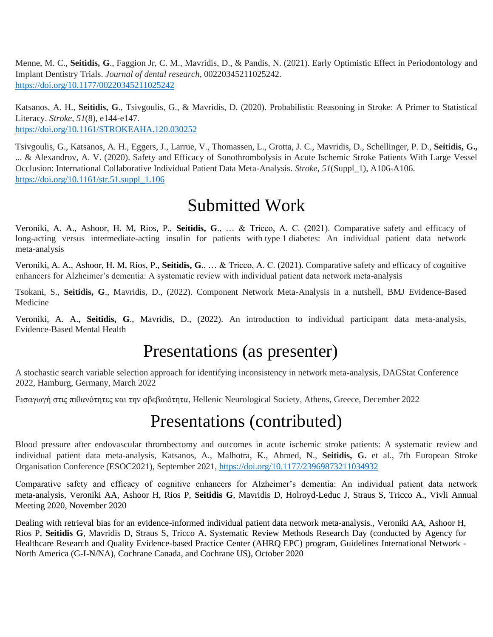Menne, M. C., **Seitidis, G**., Faggion Jr, C. M., Mavridis, D., & Pandis, N. (2021). Early Optimistic Effect in Periodontology and Implant Dentistry Trials. *Journal of dental research*, 00220345211025242. [https://doi.org/10.1177/00220345211025242](https://doi.org/10.1177%2F00220345211025242)

Katsanos, A. H., **Seitidis, G**., Tsivgoulis, G., & Mavridis, D. (2020). Probabilistic Reasoning in Stroke: A Primer to Statistical Literacy. *Stroke*, *51*(8), e144-e147. <https://doi.org/10.1161/STROKEAHA.120.030252>

Tsivgoulis, G., Katsanos, A. H., Eggers, J., Larrue, V., Thomassen, L., Grotta, J. C., Mavridis, D., Schellinger, P. D., **Seitidis, G.,** ... & Alexandrov, A. V. (2020). Safety and Efficacy of Sonothrombolysis in Acute Ischemic Stroke Patients With Large Vessel Occlusion: International Collaborative Individual Patient Data Meta-Analysis. *Stroke*, *51*(Suppl\_1), A106-A106. [https://doi.org/10.1161/str.51.suppl\\_1.106](https://doi.org/10.1161/str.51.suppl_1.106)

#### Submitted Work

Veroniki, A. A., Ashoor, H. M, Rios, P., **Seitidis, G**., … & Tricco, A. C. (2021). Comparative safety and efficacy of long-acting versus intermediate-acting insulin for patients with type 1 diabetes: An individual patient data network meta-analysis

Veroniki, A. A., Ashoor, H. M, Rios, P., **Seitidis, G**., … & Tricco, A. C. (2021). Comparative safety and efficacy of cognitive enhancers for Alzheimer's dementia: A systematic review with individual patient data network meta-analysis

Tsokani, S., **Seitidis, G**., Mavridis, D., (2022). Component Network Meta-Analysis in a nutshell, BMJ Evidence-Based Medicine

Veroniki, A. A., **Seitidis, G**., Mavridis, D., (2022). An introduction to individual participant data meta-analysis, Evidence-Based Mental Health

## Presentations (as presenter)

A stochastic search variable selection approach for identifying inconsistency in network meta-analysis, DAGStat Conference 2022, Hamburg, Germany, March 2022

Εισαγωγή στις πιθανότητες και την αβεβαιότητα, Hellenic Neurological Society, Athens, Greece, December 2022

# Presentations (contributed)

Blood pressure after endovascular thrombectomy and outcomes in acute ischemic stroke patients: A systematic review and individual patient data meta-analysis, Katsanos, A., Malhotra, K., Ahmed, N., **Seitidis, G.** et al., 7th European Stroke Organisation Conference (ESOC2021), September 2021, [https://doi.org/10.1177/23969873211034932](https://doi.org/10.1177%2F23969873211034932)

Comparative safety and efficacy of cognitive enhancers for Alzheimer's dementia: An individual patient data network meta-analysis, Veroniki AA, Ashoor H, Rios P, **Seitidis G**, Mavridis D, Holroyd-Leduc J, Straus S, Tricco A., Vivli Annual Meeting 2020, November 2020

Dealing with retrieval bias for an evidence-informed individual patient data network meta-analysis., Veroniki AA, Ashoor H, Rios P, **Seitidis G**, Mavridis D, Straus S, Tricco A. Systematic Review Methods Research Day (conducted by Agency for Healthcare Research and Quality Evidence-based Practice Center (AHRQ EPC) program, Guidelines International Network - North America (G-I-N/NA), Cochrane Canada, and Cochrane US), October 2020